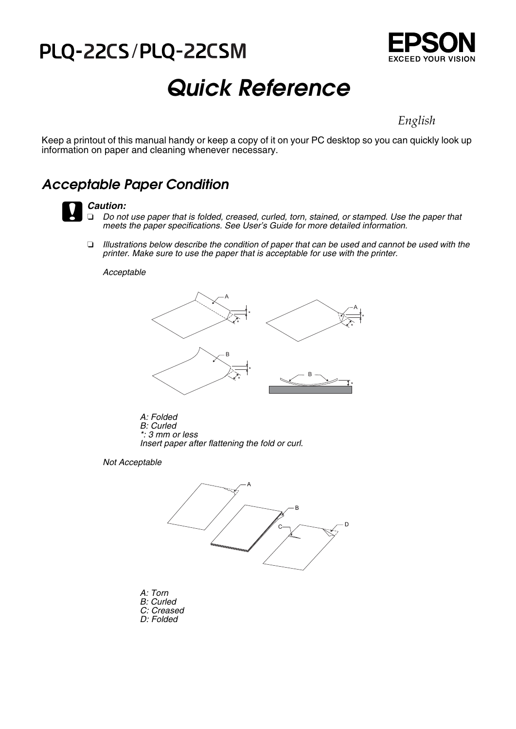# PLQ-22CS/PLQ-22CSM



# *Quick Reference*

*English* 

Keep a printout of this manual handy or keep a copy of it on your PC desktop so you can quickly look up information on paper and cleaning whenever necessary.

### *Acceptable Paper Condition*



### c*Caution:*

 *Do not use paper that is folded, creased, curled, torn, stained, or stamped. Use the paper that meets the paper specifications. See User's Guide for more detailed information.*

O *Illustrations below describe the condition of paper that can be used and cannot be used with the printer. Make sure to use the paper that is acceptable for use with the printer.*

*Acceptable*



*A: Folded B: Curled \*: 3 mm or less Insert paper after flattening the fold or curl.*

*Not Acceptable*



- *A: Torn B: Curled C: Creased*
- *D: Folded*